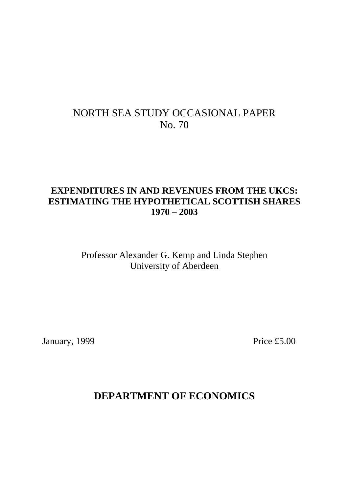# NORTH SEA STUDY OCCASIONAL PAPER No. 70

# **EXPENDITURES IN AND REVENUES FROM THE UKCS: ESTIMATING THE HYPOTHETICAL SCOTTISH SHARES 1970 – 2003**

Professor Alexander G. Kemp and Linda Stephen University of Aberdeen

January, 1999 Price £5.00

# **DEPARTMENT OF ECONOMICS**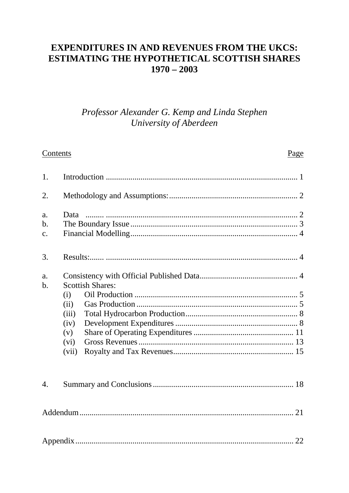# **EXPENDITURES IN AND REVENUES FROM THE UKCS: ESTIMATING THE HYPOTHETICAL SCOTTISH SHARES**  $1970 - 2003$

# Professor Alexander G. Kemp and Linda Stephen University of Aberdeen

#### Contents Page  $1<sup>1</sup>$  $2<sub>1</sub>$  $\mathbf{a}$ .  $h$  $\mathbf{c}$ .  $3.$  $\overline{a}$ .  $<sub>b</sub>$ .</sub> **Scottish Shares:**  $(i)$  $(ii)$  $(iii)$  $(iv)$  $(v)$  $(vi)$  $(vii)$  $\overline{4}$ .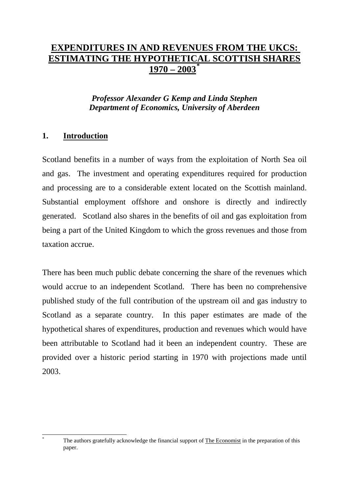#### **EXPENDITURES IN AND REVENUES FROM THE UKCS: ESTIMATING THE HYPOTHETICAL SCOTTISH SHARES**  $1970 - 2003$ **\***

## *Professor Alexander G Kemp and Linda Stephen Department of Economics, University of Aberdeen*

## **1. Introduction**

1

Scotland benefits in a number of ways from the exploitation of North Sea oil and gas. The investment and operating expenditures required for production and processing are to a considerable extent located on the Scottish mainland. Substantial employment offshore and onshore is directly and indirectly generated. Scotland also shares in the benefits of oil and gas exploitation from being a part of the United Kingdom to which the gross revenues and those from taxation accrue.

There has been much public debate concerning the share of the revenues which would accrue to an independent Scotland. There has been no comprehensive published study of the full contribution of the upstream oil and gas industry to Scotland as a separate country. In this paper estimates are made of the hypothetical shares of expenditures, production and revenues which would have been attributable to Scotland had it been an independent country. These are provided over a historic period starting in 1970 with projections made until 2003.

The authors gratefully acknowledge the financial support of The Economist in the preparation of this paper.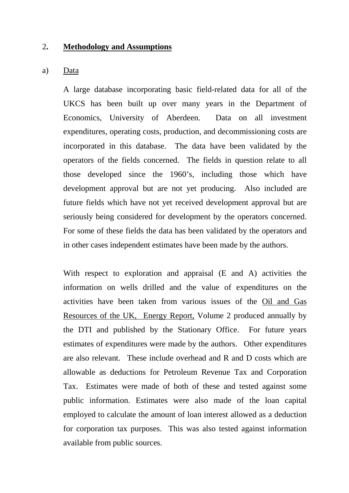#### 2**. Methodology and Assumptions**

#### a) Data

A large database incorporating basic field-related data for all of the UKCS has been built up over many years in the Department of Economics, University of Aberdeen. Data on all investment expenditures, operating costs, production, and decommissioning costs are incorporated in this database. The data have been validated by the operators of the fields concerned. The fields in question relate to all those developed since the 1960's, including those which have development approval but are not yet producing. Also included are future fields which have not yet received development approval but are seriously being considered for development by the operators concerned. For some of these fields the data has been validated by the operators and in other cases independent estimates have been made by the authors.

With respect to exploration and appraisal (E and A) activities the information on wells drilled and the value of expenditures on the activities have been taken from various issues of the Oil and Gas Resources of the UK, Energy Report, Volume 2 produced annually by the DTI and published by the Stationary Office. For future years estimates of expenditures were made by the authors. Other expenditures are also relevant. These include overhead and R and D costs which are allowable as deductions for Petroleum Revenue Tax and Corporation Tax. Estimates were made of both of these and tested against some public information. Estimates were also made of the loan capital employed to calculate the amount of loan interest allowed as a deduction for corporation tax purposes. This was also tested against information available from public sources.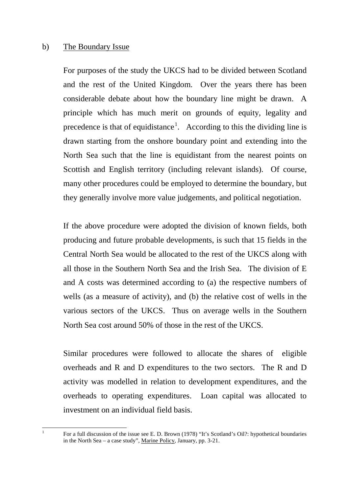#### b) The Boundary Issue

 $\mathbf{1}$ 

For purposes of the study the UKCS had to be divided between Scotland and the rest of the United Kingdom. Over the years there has been considerable debate about how the boundary line might be drawn. A principle which has much merit on grounds of equity, legality and precedence is that of equidistance<sup>1</sup>. According to this the dividing line is drawn starting from the onshore boundary point and extending into the North Sea such that the line is equidistant from the nearest points on Scottish and English territory (including relevant islands). Of course, many other procedures could be employed to determine the boundary, but they generally involve more value judgements, and political negotiation.

If the above procedure were adopted the division of known fields, both producing and future probable developments, is such that 15 fields in the Central North Sea would be allocated to the rest of the UKCS along with all those in the Southern North Sea and the Irish Sea. The division of E and A costs was determined according to (a) the respective numbers of wells (as a measure of activity), and (b) the relative cost of wells in the various sectors of the UKCS. Thus on average wells in the Southern North Sea cost around 50% of those in the rest of the UKCS.

Similar procedures were followed to allocate the shares of eligible overheads and R and D expenditures to the two sectors. The R and D activity was modelled in relation to development expenditures, and the overheads to operating expenditures. Loan capital was allocated to investment on an individual field basis.

<sup>1</sup> For a full discussion of the issue see E. D. Brown (1978) "It's Scotland's Oil?: hypothetical boundaries in the North Sea – a case study", Marine Policy, January, pp. 3-21.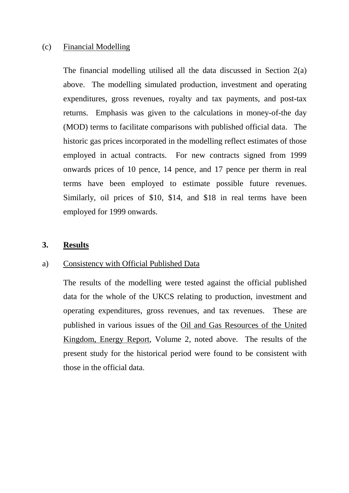#### (c) Financial Modelling

The financial modelling utilised all the data discussed in Section 2(a) above. The modelling simulated production, investment and operating expenditures, gross revenues, royalty and tax payments, and post-tax returns. Emphasis was given to the calculations in money-of-the day (MOD) terms to facilitate comparisons with published official data. The historic gas prices incorporated in the modelling reflect estimates of those employed in actual contracts. For new contracts signed from 1999 onwards prices of 10 pence, 14 pence, and 17 pence per therm in real terms have been employed to estimate possible future revenues. Similarly, oil prices of \$10, \$14, and \$18 in real terms have been employed for 1999 onwards.

#### **3. Results**

#### a) Consistency with Official Published Data

The results of the modelling were tested against the official published data for the whole of the UKCS relating to production, investment and operating expenditures, gross revenues, and tax revenues. These are published in various issues of the Oil and Gas Resources of the United Kingdom, Energy Report, Volume 2, noted above. The results of the present study for the historical period were found to be consistent with those in the official data.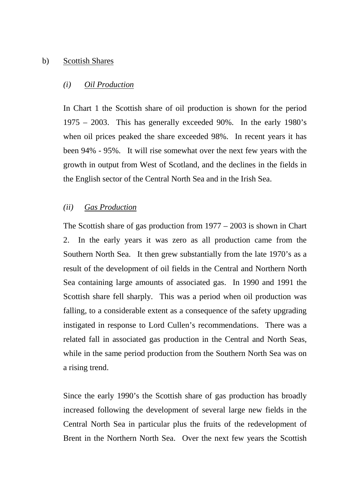#### b) Scottish Shares

#### *(i) Oil Production*

In Chart 1 the Scottish share of oil production is shown for the period 1975 – 2003. This has generally exceeded 90%. In the early 1980's when oil prices peaked the share exceeded 98%. In recent years it has been 94% - 95%. It will rise somewhat over the next few years with the growth in output from West of Scotland, and the declines in the fields in the English sector of the Central North Sea and in the Irish Sea.

#### *(ii) Gas Production*

The Scottish share of gas production from 1977 – 2003 is shown in Chart 2. In the early years it was zero as all production came from the Southern North Sea. It then grew substantially from the late 1970's as a result of the development of oil fields in the Central and Northern North Sea containing large amounts of associated gas. In 1990 and 1991 the Scottish share fell sharply. This was a period when oil production was falling, to a considerable extent as a consequence of the safety upgrading instigated in response to Lord Cullen's recommendations. There was a related fall in associated gas production in the Central and North Seas, while in the same period production from the Southern North Sea was on a rising trend.

Since the early 1990's the Scottish share of gas production has broadly increased following the development of several large new fields in the Central North Sea in particular plus the fruits of the redevelopment of Brent in the Northern North Sea. Over the next few years the Scottish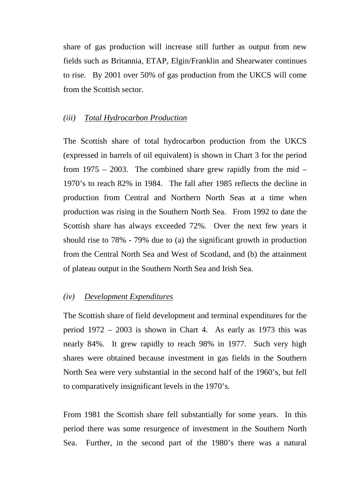share of gas production will increase still further as output from new fields such as Britannia, ETAP, Elgin/Franklin and Shearwater continues to rise. By 2001 over 50% of gas production from the UKCS will come from the Scottish sector.

#### *(iii) Total Hydrocarbon Production*

The Scottish share of total hydrocarbon production from the UKCS (expressed in barrels of oil equivalent) is shown in Chart 3 for the period from  $1975 - 2003$ . The combined share grew rapidly from the mid – 1970's to reach 82% in 1984. The fall after 1985 reflects the decline in production from Central and Northern North Seas at a time when production was rising in the Southern North Sea. From 1992 to date the Scottish share has always exceeded 72%. Over the next few years it should rise to 78% - 79% due to (a) the significant growth in production from the Central North Sea and West of Scotland, and (b) the attainment of plateau output in the Southern North Sea and Irish Sea.

#### *(iv) Development Expenditures*

The Scottish share of field development and terminal expenditures for the period 1972 – 2003 is shown in Chart 4. As early as 1973 this was nearly 84%. It grew rapidly to reach 98% in 1977. Such very high shares were obtained because investment in gas fields in the Southern North Sea were very substantial in the second half of the 1960's, but fell to comparatively insignificant levels in the 1970's.

From 1981 the Scottish share fell substantially for some years. In this period there was some resurgence of investment in the Southern North Sea. Further, in the second part of the 1980's there was a natural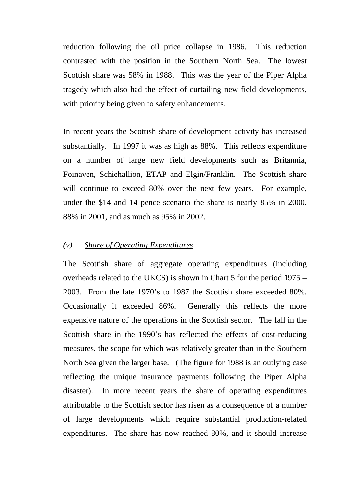reduction following the oil price collapse in 1986. This reduction contrasted with the position in the Southern North Sea. The lowest Scottish share was 58% in 1988. This was the year of the Piper Alpha tragedy which also had the effect of curtailing new field developments, with priority being given to safety enhancements.

In recent years the Scottish share of development activity has increased substantially. In 1997 it was as high as 88%. This reflects expenditure on a number of large new field developments such as Britannia, Foinaven, Schiehallion, ETAP and Elgin/Franklin. The Scottish share will continue to exceed 80% over the next few years. For example, under the \$14 and 14 pence scenario the share is nearly 85% in 2000, 88% in 2001, and as much as 95% in 2002.

#### *(v) Share of Operating Expenditures*

The Scottish share of aggregate operating expenditures (including overheads related to the UKCS) is shown in Chart 5 for the period 1975 – 2003. From the late 1970's to 1987 the Scottish share exceeded 80%. Occasionally it exceeded 86%. Generally this reflects the more expensive nature of the operations in the Scottish sector. The fall in the Scottish share in the 1990's has reflected the effects of cost-reducing measures, the scope for which was relatively greater than in the Southern North Sea given the larger base. (The figure for 1988 is an outlying case reflecting the unique insurance payments following the Piper Alpha disaster). In more recent years the share of operating expenditures attributable to the Scottish sector has risen as a consequence of a number of large developments which require substantial production-related expenditures. The share has now reached 80%, and it should increase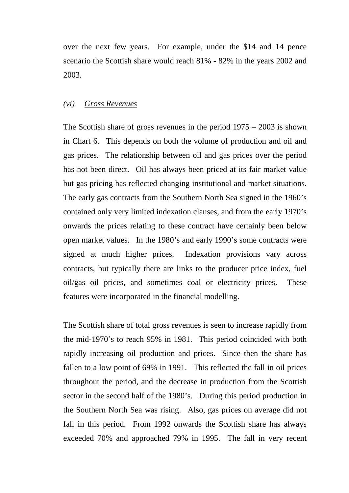over the next few years. For example, under the \$14 and 14 pence scenario the Scottish share would reach 81% - 82% in the years 2002 and 2003.

#### *(vi) Gross Revenues*

The Scottish share of gross revenues in the period 1975 – 2003 is shown in Chart 6. This depends on both the volume of production and oil and gas prices. The relationship between oil and gas prices over the period has not been direct. Oil has always been priced at its fair market value but gas pricing has reflected changing institutional and market situations. The early gas contracts from the Southern North Sea signed in the 1960's contained only very limited indexation clauses, and from the early 1970's onwards the prices relating to these contract have certainly been below open market values. In the 1980's and early 1990's some contracts were signed at much higher prices. Indexation provisions vary across contracts, but typically there are links to the producer price index, fuel oil/gas oil prices, and sometimes coal or electricity prices. These features were incorporated in the financial modelling.

The Scottish share of total gross revenues is seen to increase rapidly from the mid-1970's to reach 95% in 1981. This period coincided with both rapidly increasing oil production and prices. Since then the share has fallen to a low point of 69% in 1991. This reflected the fall in oil prices throughout the period, and the decrease in production from the Scottish sector in the second half of the 1980's. During this period production in the Southern North Sea was rising. Also, gas prices on average did not fall in this period. From 1992 onwards the Scottish share has always exceeded 70% and approached 79% in 1995. The fall in very recent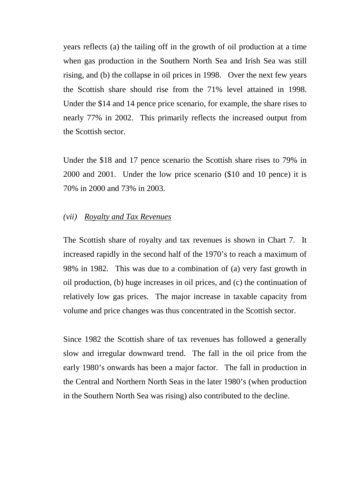years reflects (a) the tailing off in the growth of oil production at a time when gas production in the Southern North Sea and Irish Sea was still rising, and (b) the collapse in oil prices in 1998. Over the next few years the Scottish share should rise from the 71% level attained in 1998. Under the \$14 and 14 pence price scenario, for example, the share rises to nearly 77% in 2002. This primarily reflects the increased output from the Scottish sector.

Under the \$18 and 17 pence scenario the Scottish share rises to 79% in 2000 and 2001. Under the low price scenario (\$10 and 10 pence) it is 70% in 2000 and 73% in 2003.

#### *(vii) Royalty and Tax Revenues*

The Scottish share of royalty and tax revenues is shown in Chart 7. It increased rapidly in the second half of the 1970's to reach a maximum of 98% in 1982. This was due to a combination of (a) very fast growth in oil production, (b) huge increases in oil prices, and (c) the continuation of relatively low gas prices. The major increase in taxable capacity from volume and price changes was thus concentrated in the Scottish sector.

Since 1982 the Scottish share of tax revenues has followed a generally slow and irregular downward trend. The fall in the oil price from the early 1980's onwards has been a major factor. The fall in production in the Central and Northern North Seas in the later 1980's (when production in the Southern North Sea was rising) also contributed to the decline.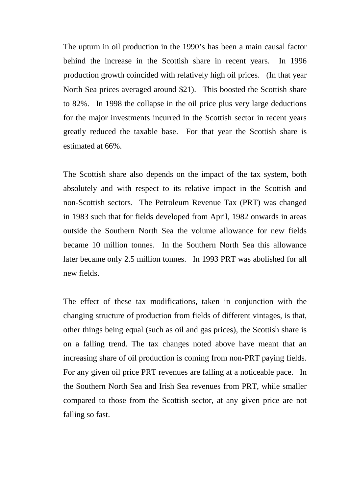The upturn in oil production in the 1990's has been a main causal factor behind the increase in the Scottish share in recent years. In 1996 production growth coincided with relatively high oil prices. (In that year North Sea prices averaged around \$21). This boosted the Scottish share to 82%. In 1998 the collapse in the oil price plus very large deductions for the major investments incurred in the Scottish sector in recent years greatly reduced the taxable base. For that year the Scottish share is estimated at 66%.

The Scottish share also depends on the impact of the tax system, both absolutely and with respect to its relative impact in the Scottish and non-Scottish sectors. The Petroleum Revenue Tax (PRT) was changed in 1983 such that for fields developed from April, 1982 onwards in areas outside the Southern North Sea the volume allowance for new fields became 10 million tonnes. In the Southern North Sea this allowance later became only 2.5 million tonnes. In 1993 PRT was abolished for all new fields.

The effect of these tax modifications, taken in conjunction with the changing structure of production from fields of different vintages, is that, other things being equal (such as oil and gas prices), the Scottish share is on a falling trend. The tax changes noted above have meant that an increasing share of oil production is coming from non-PRT paying fields. For any given oil price PRT revenues are falling at a noticeable pace. In the Southern North Sea and Irish Sea revenues from PRT, while smaller compared to those from the Scottish sector, at any given price are not falling so fast.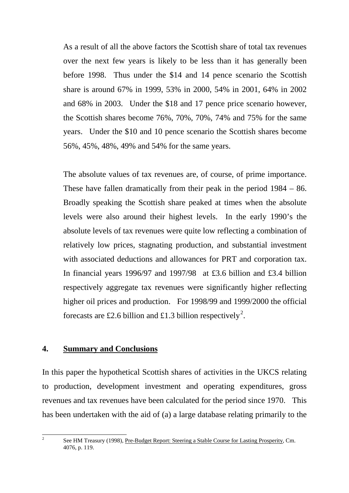As a result of all the above factors the Scottish share of total tax revenues over the next few years is likely to be less than it has generally been before 1998. Thus under the \$14 and 14 pence scenario the Scottish share is around 67% in 1999, 53% in 2000, 54% in 2001, 64% in 2002 and 68% in 2003. Under the \$18 and 17 pence price scenario however, the Scottish shares become 76%, 70%, 70%, 74% and 75% for the same years. Under the \$10 and 10 pence scenario the Scottish shares become 56%, 45%, 48%, 49% and 54% for the same years.

The absolute values of tax revenues are, of course, of prime importance. These have fallen dramatically from their peak in the period 1984 – 86. Broadly speaking the Scottish share peaked at times when the absolute levels were also around their highest levels. In the early 1990's the absolute levels of tax revenues were quite low reflecting a combination of relatively low prices, stagnating production, and substantial investment with associated deductions and allowances for PRT and corporation tax. In financial years 1996/97 and 1997/98 at £3.6 billion and £3.4 billion respectively aggregate tax revenues were significantly higher reflecting higher oil prices and production. For 1998/99 and 1999/2000 the official forecasts are £2.6 billion and £1.3 billion respectively<sup>2</sup>.

### **4. Summary and Conclusions**

In this paper the hypothetical Scottish shares of activities in the UKCS relating to production, development investment and operating expenditures, gross revenues and tax revenues have been calculated for the period since 1970. This has been undertaken with the aid of (a) a large database relating primarily to the

 $\overline{2}$ 

<sup>2</sup> See HM Treasury (1998), Pre-Budget Report: Steering a Stable Course for Lasting Prosperity, Cm. 4076, p. 119.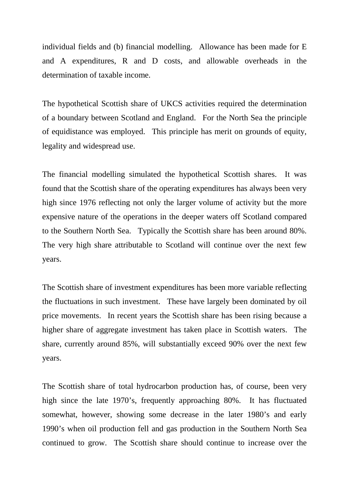individual fields and (b) financial modelling. Allowance has been made for E and A expenditures, R and D costs, and allowable overheads in the determination of taxable income.

The hypothetical Scottish share of UKCS activities required the determination of a boundary between Scotland and England. For the North Sea the principle of equidistance was employed. This principle has merit on grounds of equity, legality and widespread use.

The financial modelling simulated the hypothetical Scottish shares. It was found that the Scottish share of the operating expenditures has always been very high since 1976 reflecting not only the larger volume of activity but the more expensive nature of the operations in the deeper waters off Scotland compared to the Southern North Sea. Typically the Scottish share has been around 80%. The very high share attributable to Scotland will continue over the next few years.

The Scottish share of investment expenditures has been more variable reflecting the fluctuations in such investment. These have largely been dominated by oil price movements. In recent years the Scottish share has been rising because a higher share of aggregate investment has taken place in Scottish waters. The share, currently around 85%, will substantially exceed 90% over the next few years.

The Scottish share of total hydrocarbon production has, of course, been very high since the late 1970's, frequently approaching 80%. It has fluctuated somewhat, however, showing some decrease in the later 1980's and early 1990's when oil production fell and gas production in the Southern North Sea continued to grow. The Scottish share should continue to increase over the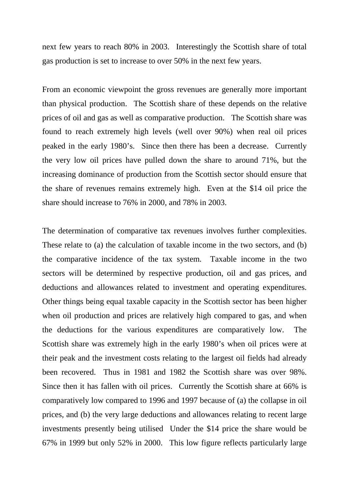next few years to reach 80% in 2003. Interestingly the Scottish share of total gas production is set to increase to over 50% in the next few years.

From an economic viewpoint the gross revenues are generally more important than physical production. The Scottish share of these depends on the relative prices of oil and gas as well as comparative production. The Scottish share was found to reach extremely high levels (well over 90%) when real oil prices peaked in the early 1980's. Since then there has been a decrease. Currently the very low oil prices have pulled down the share to around 71%, but the increasing dominance of production from the Scottish sector should ensure that the share of revenues remains extremely high. Even at the \$14 oil price the share should increase to 76% in 2000, and 78% in 2003.

The determination of comparative tax revenues involves further complexities. These relate to (a) the calculation of taxable income in the two sectors, and (b) the comparative incidence of the tax system. Taxable income in the two sectors will be determined by respective production, oil and gas prices, and deductions and allowances related to investment and operating expenditures. Other things being equal taxable capacity in the Scottish sector has been higher when oil production and prices are relatively high compared to gas, and when the deductions for the various expenditures are comparatively low. The Scottish share was extremely high in the early 1980's when oil prices were at their peak and the investment costs relating to the largest oil fields had already been recovered. Thus in 1981 and 1982 the Scottish share was over 98%. Since then it has fallen with oil prices. Currently the Scottish share at 66% is comparatively low compared to 1996 and 1997 because of (a) the collapse in oil prices, and (b) the very large deductions and allowances relating to recent large investments presently being utilised Under the \$14 price the share would be 67% in 1999 but only 52% in 2000. This low figure reflects particularly large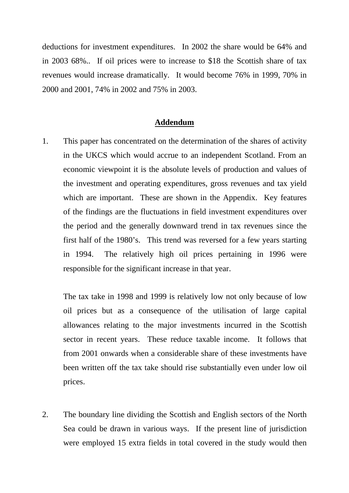deductions for investment expenditures. In 2002 the share would be 64% and in 2003 68%.. If oil prices were to increase to \$18 the Scottish share of tax revenues would increase dramatically. It would become 76% in 1999, 70% in 2000 and 2001, 74% in 2002 and 75% in 2003.

#### **Addendum**

1. This paper has concentrated on the determination of the shares of activity in the UKCS which would accrue to an independent Scotland. From an economic viewpoint it is the absolute levels of production and values of the investment and operating expenditures, gross revenues and tax yield which are important. These are shown in the Appendix. Key features of the findings are the fluctuations in field investment expenditures over the period and the generally downward trend in tax revenues since the first half of the 1980's. This trend was reversed for a few years starting in 1994. The relatively high oil prices pertaining in 1996 were responsible for the significant increase in that year.

The tax take in 1998 and 1999 is relatively low not only because of low oil prices but as a consequence of the utilisation of large capital allowances relating to the major investments incurred in the Scottish sector in recent years. These reduce taxable income. It follows that from 2001 onwards when a considerable share of these investments have been written off the tax take should rise substantially even under low oil prices.

2. The boundary line dividing the Scottish and English sectors of the North Sea could be drawn in various ways. If the present line of jurisdiction were employed 15 extra fields in total covered in the study would then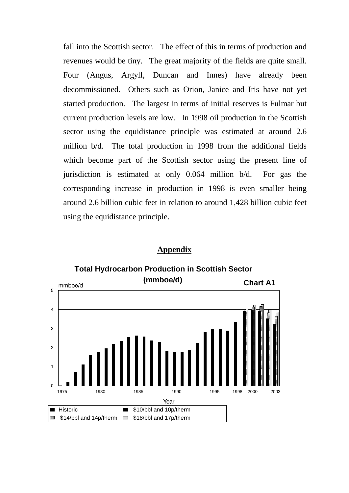fall into the Scottish sector. The effect of this in terms of production and revenues would be tiny. The great majority of the fields are quite small. Four (Angus, Argyll, Duncan and Innes) have already been decommissioned. Others such as Orion, Janice and Iris have not yet started production. The largest in terms of initial reserves is Fulmar but current production levels are low. In 1998 oil production in the Scottish sector using the equidistance principle was estimated at around 2.6 million b/d. The total production in 1998 from the additional fields which become part of the Scottish sector using the present line of jurisdiction is estimated at only 0.064 million b/d. For gas the corresponding increase in production in 1998 is even smaller being around 2.6 billion cubic feet in relation to around 1,428 billion cubic feet using the equidistance principle.

#### **Appendix**



**Total Hydrocarbon Production in Scottish Sector**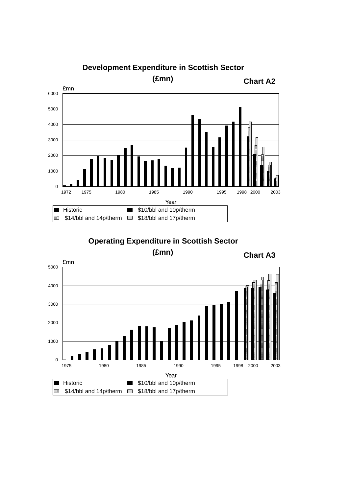

**Development Expenditure in Scottish Sector** 

# **Operating Expenditure in Scottish Sector**

**(£mn)**



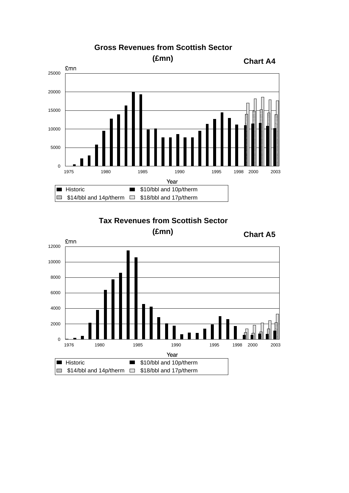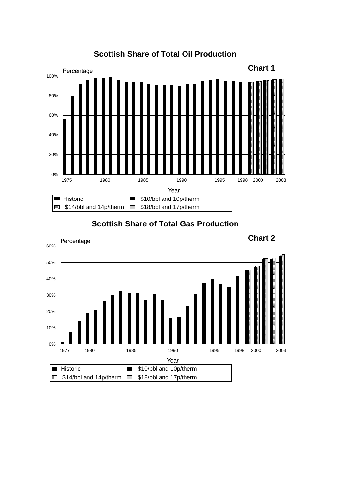

# **Scottish Share of Total Oil Production**

**Scottish Share of Total Gas Production**

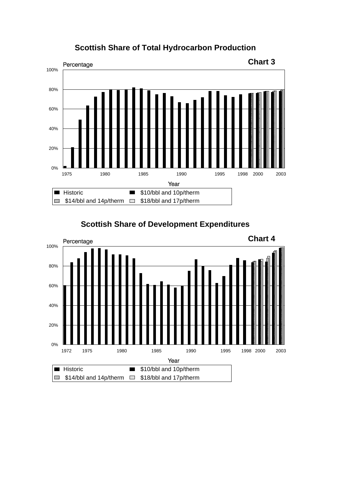

## **Scottish Share of Total Hydrocarbon Production**



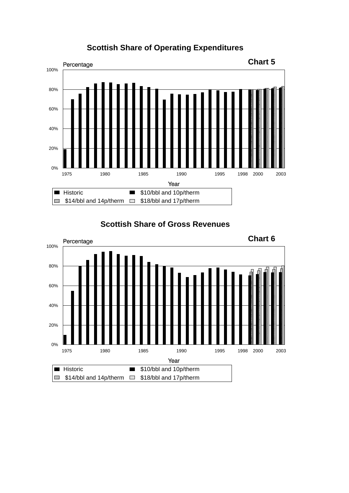



**Scottish Share of Gross Revenues**